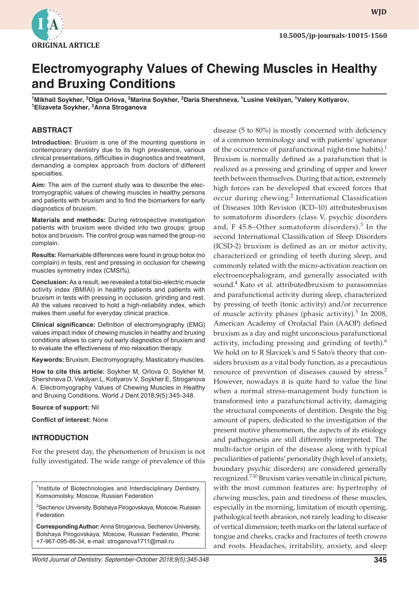

**WJD WJD**

# **Electromyography Values of Chewing Muscles in Healthy and Bruxing Conditions**

<sup>1</sup>Mikhail Soykher, <sup>2</sup>Olga Orlova, <sup>2</sup>Marina Soykher, <sup>2</sup>Daria Shershneva, <sup>1</sup>Lusine Vekilyan, <sup>1</sup>Valery Kotlyarov,<br><sup>1</sup>Elizayeta Soykher, <sup>2</sup>Anna Stroganova **Elizaveta Soykher, <sup>2</sup> Anna Stroganova**

## **ABSTRACT**

**Introduction:** Bruxism is one of the mounting questions in contemporary dentistry due to its high prevalence, various clinical presentations, difficulties in diagnostics and treatment, demanding a complex approach from doctors of different specialties.

**Aim:** The aim of the current study was to describe the electromyographic values of chewing muscles in healthy persons and patients with bruxism and to find the biomarkers for early diagnostics of bruxism.

**Materials and methods:** During retrospective investigation patients with bruxism were divided into two groups: group botox and bruxism. The control group was named the group-no complain.

**Results:** Remarkable differences were found in group botox (no complain) in tests, rest and pressing in occlusion for chewing muscles symmetry index (CMSI%).

**Conclusion:** As a result, we revealed a total bio-electric muscle activity index (BMIAI) in healthy patients and patients with bruxism in tests with pressing in occlusion, grinding and rest. All the values received to hold a high-reliability index, which makes them useful for everyday clinical practice.

**Clinical significance:** Definition of electromyography (EMG) values impact index of chewing muscles in healthy and bruxing conditions allows to carry out early diagnostics of bruxism and to evaluate the effectiveness of mio relaxation therapy.

**Keywords:** Bruxism, Electromyography, Masticatory muscles.

**How to cite this article:** Soykher M, Orlova O, Soykher M, Shershneva D, Vekilyan L, Kotlyarov V, Soykher E, Stroganova A. Electromyography Values of Chewing Muscles in Healthy and Bruxing Conditions. World J Dent 2018;9(5):345-348.

#### **Source of support:** Nil

**Conflict of interest:** None

# **INTRODUCTION**

For the present day, the phenomenon of bruxism is not fully investigated. The wide range of prevalence of this

<sup>1</sup>Institute of Biotechnologies and Interdisciplinary Dentistry, Komsomolsky, Moscow, Russian Federation

<sup>2</sup>Sechenov University, Bolshaya Pirogovskaya, Moscow, Russian Federation

**Corresponding Author:** Anna Stroganova, Sechenov University, Bolshaya Pirogovskaya, Moscow, Russian Federatio, Phone: +7-967-095-86-34, e-mail: stroganova1711@mail.ru

of the occurrence of parafunctional night-time habits).<sup>1</sup> Bruxism is normally defined as a parafunction that is realized as a pressing and grinding of upper and lower teeth between themselves. During that action, extremely high forces can be developed that exceed forces that occur during chewing.<sup>2</sup> International Classification of Diseases 10th Revision (ICD–10) attributesbruxism to somatoform disorders (class V, psychic disorders and, F  $45.8$ -Other somatoform disorders).<sup>3</sup> In the second International Classification of Sleep Disorders (ICSD-2) bruxism is defined as an or motor activity, characterized or grinding of teeth during sleep, and commonly related with the micro-activation reaction on electroencephalogram, and generally associated with sound.<sup>4</sup> Kato et al. attributedbruxism to parasomnias and parafunctional activity during sleep, characterized by pressing of teeth (tonic activity) and/or recurrence of muscle activity phases (phasic activity).<sup>5</sup> In 2008, American Academy of Orofacial Pain (AAOP) defined bruxism as a day and night unconscious parafunctional activity, including pressing and grinding of teeth). $6$ We hold on to R Slavicek's and S Sato's theory that considers bruxism as a vital body function, as a precautious resource of prevention of diseases caused by stress.<sup>2</sup> However, nowadays it is quite hard to value the line when a normal stress-management body function is transformed into a parafunctional activity, damaging the structural components of dentition. Despite the big amount of papers, dedicated to the investigation of the present motive phenomenon, the aspects of its etiology and pathogenesis are still differently interpreted. The multi-factor origin of the disease along with typical peculiarities of patients' personality (high level of anxiety, boundary psychic disorders) are considered generally recognized.<sup>7-10</sup> Bruxism varies versatile in clinical picture, with the most common features are: hypertrophy of chewing muscles, pain and tiredness of these muscles, especially in the morning, limitation of mouth opening, pathological teeth abrasion, not rarely leading to disease of vertical dimension; teeth marks on the lateral surface of tongue and cheeks, cracks and fractures of teeth crowns and roots. Headaches, irritability, anxiety, and sleep

disease (5 to 80%) is mostly concerned with deficiency of a common terminology and with patients' ignorance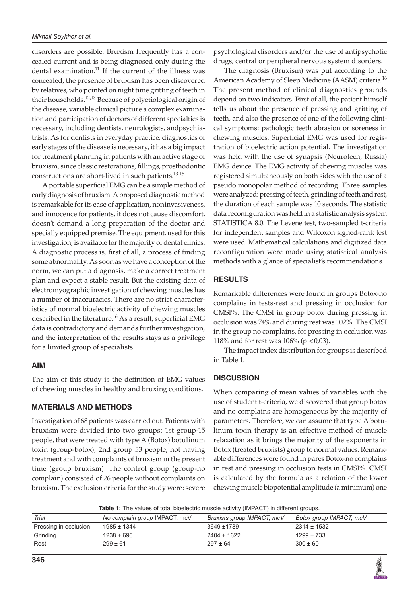disorders are possible. Bruxism frequently has a concealed current and is being diagnosed only during the dental examination.<sup>11</sup> If the current of the illness was concealed, the presence of bruxism has been discovered by relatives, who pointed on night time gritting of teeth in their households.<sup>12,13</sup> Because of polyetiological origin of the disease, variable clinical picture a complex examination and participation of doctors of different specialties is necessary, including dentists, neurologists, andpsychiatrists. As for dentists in everyday practice, diagnostics of early stages of the disease is necessary, it has a big impact for treatment planning in patients with an active stage of bruxism, since classic restorations, fillings, prosthodontic constructions are short-lived in such patients.13-15

A portable superficial EMG can be a simple method of early diagnosis of bruxism. A proposed diagnostic method is remarkable for its ease of application, noninvasiveness, and innocence for patients, it does not cause discomfort, doesn't demand a long preparation of the doctor and specially equipped premise. The equipment, used for this investigation, is available for the majority of dental clinics. A diagnostic process is, first of all, a process of finding some abnormality. As soon as we have a conception of the norm, we can put a diagnosis, make a correct treatment plan and expect a stable result. But the existing data of electromyographic investigation of chewing muscles has a number of inaccuracies. There are no strict characteristics of normal bioelectric activity of chewing muscles described in the literature.<sup>16</sup> As a result, superficial EMG data is contradictory and demands further investigation, and the interpretation of the results stays as a privilege for a limited group of specialists.

# **AIM**

The aim of this study is the definition of EMG values of chewing muscles in healthy and bruxing conditions.

# **MATERIALS AND METHODS**

Investigation of 68 patients was carried out. Patients with bruxism were divided into two groups: 1st group-15 people, that were treated with type A (Botox) botulinum toxin (group-botox), 2nd group 53 people, not having treatment and with complaints of bruxism in the present time (group bruxism). The control group (group-no complain) consisted of 26 people without complaints on bruxism. The exclusion criteria for the study were: severe

psychological disorders and/or the use of antipsychotic drugs, central or peripheral nervous system disorders.

The diagnosis (Bruxism) was put according to the American Academy of Sleep Medicine (AASM) criteria.<sup>16</sup> The present method of clinical diagnostics grounds depend on two indicators. First of all, the patient himself tells us about the presence of pressing and gritting of teeth, and also the presence of one of the following clinical symptoms: pathologic teeth abrasion or soreness in chewing muscles. Superficial EMG was used for registration of bioelectric action potential. The investigation was held with the use of synapsis (Neurotech, Russia) EMG device. The EMG activity of chewing muscles was registered simultaneously on both sides with the use of a pseudo monopolar method of recording. Three samples were analyzed: pressing of teeth, grinding of teeth and rest, the duration of each sample was 10 seconds. The statistic data reconfiguration was held in a statistic analysis system STATISTICA 8.0. The Levene test, two-sampled t-criteria for independent samples and Wilcoxon signed-rank test were used. Mathematical calculations and digitized data reconfiguration were made using statistical analysis methods with a glance of specialist's recommendations.

# **RESULTS**

Remarkable differences were found in groups Botox-no complains in tests-rest and pressing in occlusion for CMSI%. The CMSI in group botox during pressing in occlusion was 74% and during rest was 102%. The CMSI in the group no complains, for pressing in occlusion was 118% and for rest was  $106%$  (p < 0,03).

The impact index distribution for groups is described in Table 1.

# **DISCUSSION**

When comparing of mean values of variables with the use of student t-criteria, we discovered that group botox and no complains are homogeneous by the majority of parameters. Therefore, we can assume that type A botulinum toxin therapy is an effective method of muscle relaxation as it brings the majority of the exponents in Botox (treated bruxists) group to normal values. Remarkable differences were found in pares Botox-no complains in rest and pressing in occlusion tests in CMSI%. CMSI is calculated by the formula as a relation of the lower chewing muscle biopotential amplitude (a minimum) one

**Table 1:** The values of total bioelectric muscle activity (IMPACT) in different groups.

| Trial                 | No complain group IMPACT, mcV | Bruxists group IMPACT, mcV | Botox group IMPACT, mcV |
|-----------------------|-------------------------------|----------------------------|-------------------------|
| Pressing in occlusion | 1985 ± 1344                   | 3649 ±1789                 | $2314 \pm 1532$         |
| Grinding              | $1238 \pm 696$                | $2404 \pm 1622$            | $1299 \pm 733$          |
| Rest                  | $299 \pm 61$                  | $297 \pm 64$               | $300 \pm 60$            |
|                       |                               |                            |                         |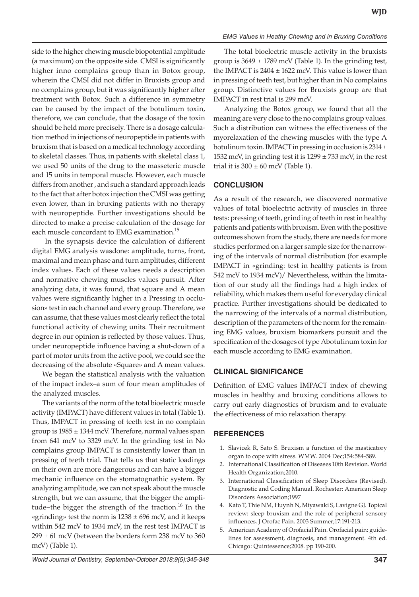side to the higher chewing muscle biopotential amplitude (a maximum) on the opposite side. CMSI is significantly higher inno complains group than in Botox group, wherein the CMSI did not differ in Bruxists group and no complains group, but it was significantly higher after treatment with Botox. Such a difference in symmetry can be caused by the impact of the botulinum toxin, therefore, we can conclude, that the dosage of the toxin should be held more precisely. There is a dosage calculation method in injections of neuropeptide in patients with bruxism that is based on a medical technology according to skeletal classes. Thus, in patients with skeletal class 1, we used 50 units of the drug to the masseteric muscle and 15 units in temporal muscle. However, each muscle differs from another , and such a standard approach leads to the fact that after botox injection the CMSI was getting even lower, than in bruxing patients with no therapy with neuropeptide. Further investigations should be directed to make a precise calculation of the dosage for each muscle concordant to EMG examination.<sup>15</sup>

 In the synapsis device the calculation of different digital EMG analysis wasdone: amplitude, turns, front, maximal and mean phase and turn amplitudes, different index values. Each of these values needs a description and normative chewing muscles values pursuit. After analyzing data, it was found, that square and A mean values were significantly higher in a Pressing in occlusion» test in each channel and every group. Therefore, we can assume, that these values most clearly reflect the total functional activity of chewing units. Their recruitment degree in our opinion is reflected by those values. Thus, under neuropeptide influence having a shut-down of a part of motor units from the active pool, we could see the decreasing of the absolute «Square» and A mean values.

We began the statistical analysis with the valuation of the impact index–a sum of four mean amplitudes of the analyzed muscles.

The variants of the norm of the total bioelectric muscle activity (IMPACT) have different values in total (Table 1). Thus, IMPACT in pressing of teeth test in no complain group is  $1985 \pm 1344$  mcV. Therefore, normal values span from 641 mcV to 3329 mcV. In the grinding test in No complains group IMPACT is consistently lower than in pressing of teeth trial. That tells us that static loadings on their own are more dangerous and can have a bigger mechanic influence on the stomatognathic system. By analyzing amplitude, we can not speak about the muscle strength, but we can assume, that the bigger the amplitude–the bigger the strength of the traction.<sup>16</sup> In the «grinding» test the norm is  $1238 \pm 696$  mcV, and it keeps within 542 mcV to 1934 mcV, in the rest test IMPACT is  $299 \pm 61$  mcV (between the borders form 238 mcV to 360 mcV) (Table 1).

## *EMG Values in Heathy Chewing and in Bruxing Conditions*

The total bioelectric muscle activity in the bruxists group is  $3649 \pm 1789$  mcV (Table 1). In the grinding test, the IMPACT is  $2404 \pm 1622$  mcV. This value is lower than in pressing of teeth test, but higher than in No complains group. Distinctive values for Bruxists group are that IMPACT in rest trial is 299 mcV.

Analyzing the Botox group, we found that all the meaning are very close to the no complains group values. Such a distribution can witness the effectiveness of the myorelaxation of the chewing muscles with the type A botulinum toxin. IMPACT in pressing in occlusion is  $2314 \pm$ 1532 mcV, in grinding test it is  $1299 \pm 733$  mcV, in the rest trial it is  $300 \pm 60$  mcV (Table 1).

# **CONCLUSION**

As a result of the research, we discovered normative values of total bioelectric activity of muscles in three tests: pressing of teeth, grinding of teeth in rest in healthy patients and patients with bruxism. Even with the positive outcomes shown from the study, there are needs for more studies performed on a larger sample size for the narrowing of the intervals of normal distribution (for example IMPACT in «grinding: test in healthy patients is from 542 mcV to 1934 mcV)/ Nevertheless, within the limitation of our study all the findings had a high index of reliability, which makes them useful for everyday clinical practice. Further investigations should be dedicated to the narrowing of the intervals of a normal distribution, description of the parameters of the norm for the remaining EMG values, bruxism biomarkers pursuit and the specification of the dosages of type Abotulinum toxin for each muscle according to EMG examination.

# **CLINICAL SIGNIFICANCE**

Definition of EMG values IMPACT index of chewing muscles in healthy and bruxing conditions allows to carry out early diagnostics of bruxism and to evaluate the effectiveness of mio relaxation therapy.

# **REFERENCES**

- 1. Slavicek R, Sato S. Bruxism a function of the masticatory organ to cope with stress. WMW. 2004 Dec;154:584-589.
- 2. International Classification of Diseases 10th Revision. World Health Organization;2010.
- 3. International Classification of Sleep Disorders (Revised). Diagnostic and Coding Manual. Rochester: American Sleep Disorders Association;1997
- 4. Kato T, Thie NM, Huynh N, Miyawaki S, Lavigne GJ. Topical review: sleep bruxism and the role of peripheral sensory influences. J Orofac Pain. 2003 Summer;17:191-213.
- 5. American Academy of Orofacial Pain. Orofacial pain: guidelines for assessment, diagnosis, and management. 4th ed. Chicago: Quintessence;2008. pp 190-200.